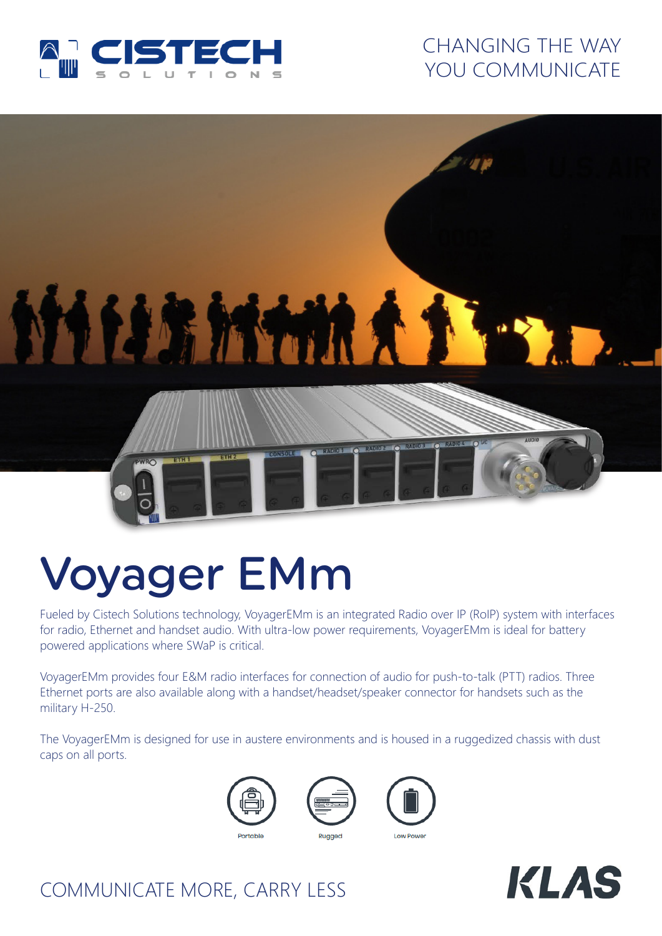

### CHANGING THE WAY YOU COMMUNICATE

# **MILLEMANA ENR FIRE**

# Voyager EMm

Fueled by Cistech Solutions technology, VoyagerEMm is an integrated Radio over IP (RoIP) system with interfaces for radio, Ethernet and handset audio. With ultra-low power requirements, VoyagerEMm is ideal for battery powered applications where SWaP is critical.

VoyagerEMm provides four E&M radio interfaces for connection of audio for push-to-talk (PTT) radios. Three Ethernet ports are also available along with a handset/headset/speaker connector for handsets such as the military H-250.

The VoyagerEMm is designed for use in austere environments and is housed in a ruggedized chassis with dust caps on all ports.







## COMMUNICATE MORE, CARRY LESS